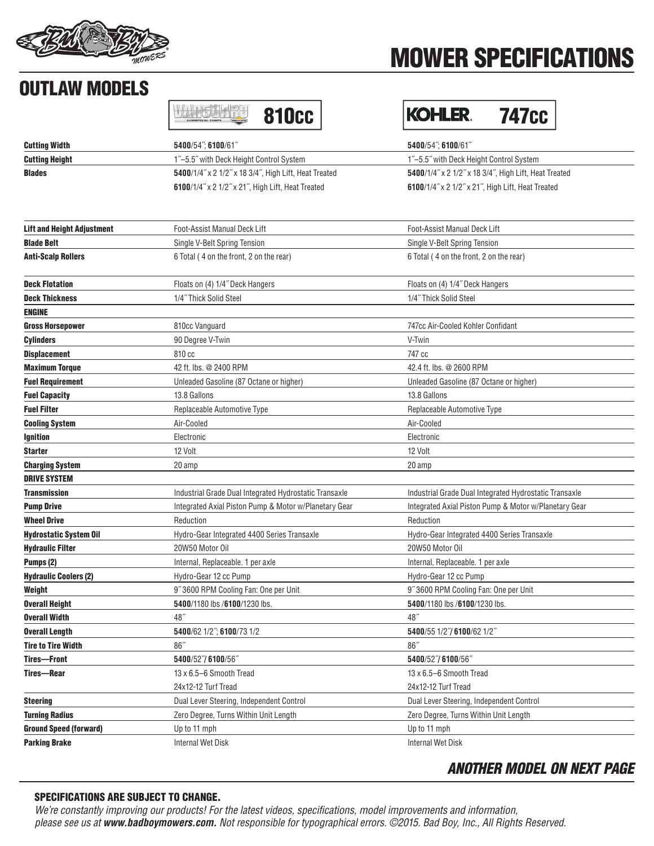

# MOWER SPECIFICATIONS

KOHLER. 747CC

# OUTLAW MODELS

| <b>COMMERCIAL POWER</b> |  |
|-------------------------|--|
|-------------------------|--|

| <b>Cutting Width</b>              | 5400/54"; 6100/61"                                       | 5400/54"; 6100/61"                                       |
|-----------------------------------|----------------------------------------------------------|----------------------------------------------------------|
| <b>Cutting Height</b>             | 1"-5.5" with Deck Height Control System                  | 1"-5.5" with Deck Height Control System                  |
| <b>Blades</b>                     | 5400/1/4" x 2 1/2" x 18 3/4", High Lift, Heat Treated    | 5400/1/4" x 2 1/2" x 18 3/4", High Lift, Heat Treated    |
|                                   | <b>6100/1/4" x 2 1/2" x 21", High Lift, Heat Treated</b> | <b>6100/1/4" x 2 1/2" x 21", High Lift, Heat Treated</b> |
|                                   |                                                          |                                                          |
| <b>Lift and Height Adjustment</b> | <b>Foot-Assist Manual Deck Lift</b>                      | <b>Foot-Assist Manual Deck Lift</b>                      |
| <b>Blade Belt</b>                 | Single V-Belt Spring Tension                             | Single V-Belt Spring Tension                             |
| <b>Anti-Scalp Rollers</b>         | 6 Total (4 on the front, 2 on the rear)                  | 6 Total (4 on the front, 2 on the rear)                  |
| <b>Deck Flotation</b>             | Floats on (4) 1/4" Deck Hangers                          | Floats on (4) 1/4" Deck Hangers                          |
| Deck Thickness                    | 1/4" Thick Solid Steel                                   | 1/4" Thick Solid Steel                                   |
| <b>ENGINE</b>                     |                                                          |                                                          |
| <b>Gross Horsepower</b>           | 810cc Vanguard                                           | 747cc Air-Cooled Kohler Confidant                        |
| <b>Cylinders</b>                  | 90 Degree V-Twin                                         | V-Twin                                                   |
| <b>Displacement</b>               | 810 cc                                                   | 747 cc                                                   |
| <b>Maximum Torque</b>             | 42 ft. lbs. @ 2400 RPM                                   | 42.4 ft. lbs. @ 2600 RPM                                 |
| <b>Fuel Requirement</b>           | Unleaded Gasoline (87 Octane or higher)                  | Unleaded Gasoline (87 Octane or higher)                  |
| <b>Fuel Capacity</b>              | 13.8 Gallons                                             | 13.8 Gallons                                             |
| <b>Fuel Filter</b>                | Replaceable Automotive Type                              | Replaceable Automotive Type                              |
| <b>Cooling System</b>             | Air-Cooled                                               | Air-Cooled                                               |
| Ignition                          | Electronic                                               | Electronic                                               |
| <b>Starter</b>                    | 12 Volt                                                  | 12 Volt                                                  |
| <b>Charging System</b>            | 20 amp                                                   | 20 amp                                                   |
| <b>DRIVE SYSTEM</b>               |                                                          |                                                          |
| Transmission                      | Industrial Grade Dual Integrated Hydrostatic Transaxle   | Industrial Grade Dual Integrated Hydrostatic Transaxle   |
| <b>Pump Drive</b>                 | Integrated Axial Piston Pump & Motor w/Planetary Gear    | Integrated Axial Piston Pump & Motor w/Planetary Gear    |
| <b>Wheel Drive</b>                | Reduction                                                | Reduction                                                |
| Hydrostatic System Oil            | Hydro-Gear Integrated 4400 Series Transaxle              | Hydro-Gear Integrated 4400 Series Transaxle              |
| <b>Hydraulic Filter</b>           | 20W50 Motor Oil                                          | 20W50 Motor Oil                                          |
| Pumps (2)                         | Internal, Replaceable. 1 per axle                        | Internal, Replaceable. 1 per axle                        |
| <b>Hydraulic Coolers (2)</b>      | Hydro-Gear 12 cc Pump                                    | Hydro-Gear 12 cc Pump                                    |
| Weight                            | 9"3600 RPM Cooling Fan: One per Unit                     | 9"3600 RPM Cooling Fan: One per Unit                     |
| <b>Overall Height</b>             | 5400/1180 lbs /6100/1230 lbs.                            | 5400/1180 lbs /6100/1230 lbs.                            |
| <b>Overall Width</b>              | 48"                                                      | 48"                                                      |
| <b>Overall Length</b>             | 5400/62 1/2"; 6100/73 1/2                                | 5400/55 1/2"/ 6100/62 1/2"                               |
| <b>Tire to Tire Width</b>         | 86"                                                      | 86"                                                      |
| <b>Tires-Front</b>                | 5400/52"/6100/56"                                        | 5400/52"/6100/56"                                        |
| Tires-Rear                        | 13 x 6.5-6 Smooth Tread                                  | 13 x 6.5-6 Smooth Tread                                  |
|                                   | 24x12-12 Turf Tread                                      | 24x12-12 Turf Tread                                      |
| <b>Steering</b>                   | Dual Lever Steering, Independent Control                 | Dual Lever Steering, Independent Control                 |
| <b>Turning Radius</b>             | Zero Degree, Turns Within Unit Length                    | Zero Degree, Turns Within Unit Length                    |
| <b>Ground Speed (forward)</b>     | Up to 11 mph                                             | Up to 11 mph                                             |
| <b>Parking Brake</b>              | <b>Internal Wet Disk</b>                                 | <b>Internal Wet Disk</b>                                 |

#### Internal Wet Disk

## ANOTHER MODEL ON NEXT PAGE

### SPECIFICATIONS ARE SUBJECT TO CHANGE.

We're constantly improving our products! For the latest videos, specifications, model improvements and information, please see us at **www.badboymowers.com.** Not responsible for typographical errors. ©2015. Bad Boy, Inc., All Rights Reserved.